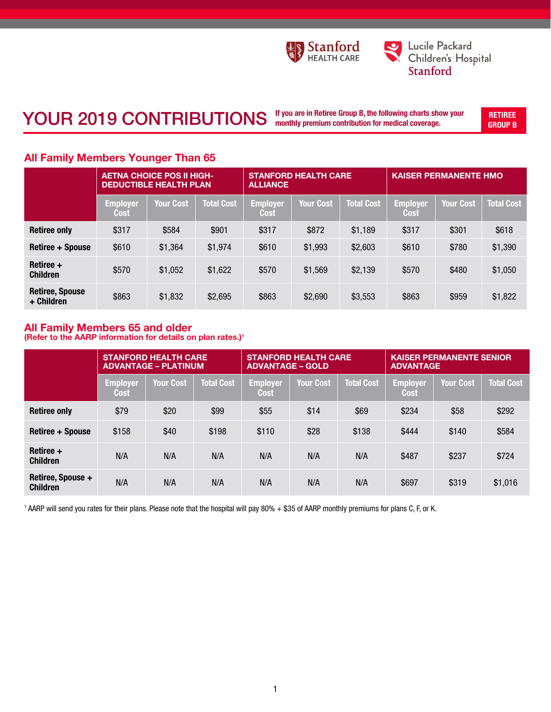

Lucile Packard<br>Children's Hospital **Stanford** 

# YOUR 2019 CONTRIBUTIONS If you are in Retiree Group B, the following charts show your

RETIREE GROUP B

## All Family Members Younger Than 65

|                                      | <b>AETNA CHOICE POS II HIGH-</b><br><b>DEDUCTIBLE HEALTH PLAN</b> |                  | <b>STANFORD HEALTH CARE</b><br><b>ALLIANCE</b> |                         |                  | <b>KAISER PERMANENTE HMO</b> |                                |                  |                   |
|--------------------------------------|-------------------------------------------------------------------|------------------|------------------------------------------------|-------------------------|------------------|------------------------------|--------------------------------|------------------|-------------------|
|                                      | <b>Employer</b><br>Cost                                           | <b>Your Cost</b> | <b>Total Cost</b>                              | <b>Employer</b><br>Cost | <b>Your Cost</b> | <b>Total Cost</b>            | <b>Employer</b><br><b>Cost</b> | <b>Your Cost</b> | <b>Total Cost</b> |
| <b>Retiree only</b>                  | \$317                                                             | \$584            | \$901                                          | \$317                   | \$872            | \$1,189                      | \$317                          | \$301            | \$618             |
| <b>Retiree + Spouse</b>              | \$610                                                             | \$1,364          | \$1,974                                        | \$610                   | \$1,993          | \$2,603                      | \$610                          | \$780            | \$1,390           |
| Retiree +<br><b>Children</b>         | \$570                                                             | \$1,052          | \$1,622                                        | \$570                   | \$1,569          | \$2,139                      | \$570                          | \$480            | \$1,050           |
| <b>Retiree, Spouse</b><br>+ Children | \$863                                                             | \$1,832          | \$2,695                                        | \$863                   | \$2,690          | \$3,553                      | \$863                          | \$959            | \$1,822           |

### All Family Members 65 and older

(Refer to the AARP information for details on plan rates.)<sup>1</sup>

|                                      |                                | <b>STANFORD HEALTH CARE</b><br><b>ADVANTAGE - PLATINUM</b> |                   | <b>STANFORD HEALTH CARE</b><br><b>ADVANTAGE – GOLD</b> |                  |                   | <b>KAISER PERMANENTE SENIOR</b><br><b>ADVANTAGE</b> |                  |                   |
|--------------------------------------|--------------------------------|------------------------------------------------------------|-------------------|--------------------------------------------------------|------------------|-------------------|-----------------------------------------------------|------------------|-------------------|
|                                      | <b>Employer</b><br><b>Cost</b> | <b>Your Cost</b>                                           | <b>Total Cost</b> | <b>Employer</b><br><b>Cost</b>                         | <b>Your Cost</b> | <b>Total Cost</b> | <b>Employer</b><br><b>Cost</b>                      | <b>Your Cost</b> | <b>Total Cost</b> |
| <b>Retiree only</b>                  | \$79                           | \$20                                                       | \$99              | \$55                                                   | \$14             | \$69              | \$234                                               | \$58             | \$292             |
| <b>Retiree + Spouse</b>              | \$158                          | \$40                                                       | \$198             | \$110                                                  | \$28             | \$138             | \$444                                               | \$140            | \$584             |
| Retiree +<br><b>Children</b>         | N/A                            | N/A                                                        | N/A               | N/A                                                    | N/A              | N/A               | \$487                                               | \$237            | \$724             |
| Retiree, Spouse +<br><b>Children</b> | N/A                            | N/A                                                        | N/A               | N/A                                                    | N/A              | N/A               | \$697                                               | \$319            | \$1,016           |

<sup>1</sup> AARP will send you rates for their plans. Please note that the hospital will pay 80% + \$35 of AARP monthly premiums for plans C, F, or K.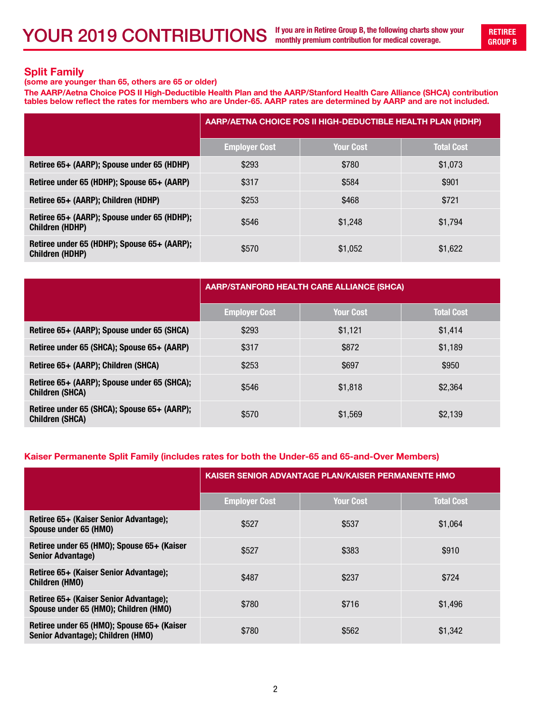# Split Family

(some are younger than 65, others are 65 or older)

The AARP/Aetna Choice POS II High-Deductible Health Plan and the AARP/Stanford Health Care Alliance (SHCA) contribution tables below reflect the rates for members who are Under-65. AARP rates are determined by AARP and are not included.

|                                                                       | AARP/AETNA CHOICE POS II HIGH-DEDUCTIBLE HEALTH PLAN (HDHP) |                  |            |  |
|-----------------------------------------------------------------------|-------------------------------------------------------------|------------------|------------|--|
|                                                                       | <b>Employer Cost</b>                                        | <b>Your Cost</b> | Total Cost |  |
| Retiree 65+ (AARP); Spouse under 65 (HDHP)                            | \$293                                                       | \$780            | \$1,073    |  |
| Retiree under 65 (HDHP); Spouse 65+ (AARP)                            | \$317                                                       | \$584            | \$901      |  |
| Retiree 65+ (AARP); Children (HDHP)                                   | \$253                                                       | \$468            | \$721      |  |
| Retiree 65+ (AARP); Spouse under 65 (HDHP);<br><b>Children (HDHP)</b> | \$546                                                       | \$1.248          | \$1.794    |  |
| Retiree under 65 (HDHP); Spouse 65+ (AARP);<br><b>Children (HDHP)</b> | \$570                                                       | \$1,052          | \$1,622    |  |

|                                                                       | AARP/STANFORD HEALTH CARE ALLIANCE (SHCA) |                  |                   |  |  |
|-----------------------------------------------------------------------|-------------------------------------------|------------------|-------------------|--|--|
|                                                                       | <b>Employer Cost</b>                      | <b>Your Cost</b> | <b>Total Cost</b> |  |  |
| Retiree 65+ (AARP); Spouse under 65 (SHCA)                            | \$293                                     | \$1,121          | \$1,414           |  |  |
| Retiree under 65 (SHCA); Spouse 65+ (AARP)                            | \$317                                     | \$872            | \$1,189           |  |  |
| Retiree 65+ (AARP); Children (SHCA)                                   | \$253                                     | \$697            | \$950             |  |  |
| Retiree 65+ (AARP); Spouse under 65 (SHCA);<br><b>Children (SHCA)</b> | \$546                                     | \$1,818          | \$2,364           |  |  |
| Retiree under 65 (SHCA); Spouse 65+ (AARP);<br><b>Children (SHCA)</b> | \$570                                     | \$1,569          | \$2,139           |  |  |

## Kaiser Permanente Split Family (includes rates for both the Under-65 and 65-and-Over Members)

|                                                                                 | <b>KAISER SENIOR ADVANTAGE PLAN/KAISER PERMANENTE HMO</b> |                  |                   |  |
|---------------------------------------------------------------------------------|-----------------------------------------------------------|------------------|-------------------|--|
|                                                                                 | <b>Employer Cost</b>                                      | <b>Your Cost</b> | <b>Total Cost</b> |  |
| Retiree 65+ (Kaiser Senior Advantage);<br>Spouse under 65 (HMO)                 | \$527                                                     | \$537            | \$1,064           |  |
| Retiree under 65 (HMO); Spouse 65+ (Kaiser<br><b>Senior Advantage)</b>          | \$527                                                     | \$383            | \$910             |  |
| Retiree 65+ (Kaiser Senior Advantage);<br><b>Children (HMO)</b>                 | \$487                                                     | \$237            | \$724             |  |
| Retiree 65+ (Kaiser Senior Advantage);<br>Spouse under 65 (HMO); Children (HMO) | \$780                                                     | \$716            | \$1,496           |  |
| Retiree under 65 (HMO); Spouse 65+ (Kaiser<br>Senior Advantage); Children (HMO) | \$780                                                     | \$562            | \$1,342           |  |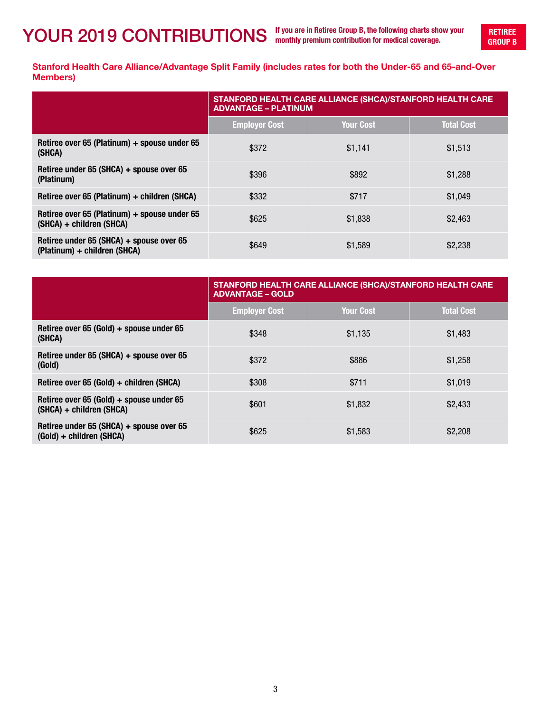Stanford Health Care Alliance/Advantage Split Family (includes rates for both the Under-65 and 65-and-Over Members)

|                                                                          | STANFORD HEALTH CARE ALLIANCE (SHCA)/STANFORD HEALTH CARE<br><b>ADVANTAGE - PLATINUM</b> |                  |                   |  |  |
|--------------------------------------------------------------------------|------------------------------------------------------------------------------------------|------------------|-------------------|--|--|
|                                                                          | <b>Employer Cost</b>                                                                     | <b>Your Cost</b> | <b>Total Cost</b> |  |  |
| Retiree over 65 (Platinum) + spouse under 65<br>(SHCA)                   | \$372                                                                                    | \$1.141          | \$1,513           |  |  |
| Retiree under 65 (SHCA) + spouse over 65<br>(Platinum)                   | \$396                                                                                    | \$892            | \$1,288           |  |  |
| Retiree over 65 (Platinum) + children (SHCA)                             | \$332                                                                                    | \$717            | \$1,049           |  |  |
| Retiree over 65 (Platinum) + spouse under 65<br>(SHCA) + children (SHCA) | \$625                                                                                    | \$1,838          | \$2,463           |  |  |
| Retiree under 65 (SHCA) + spouse over 65<br>(Platinum) + children (SHCA) | \$649                                                                                    | \$1,589          | \$2.238           |  |  |

|                                                                      | STANFORD HEALTH CARE ALLIANCE (SHCA)/STANFORD HEALTH CARE<br><b>ADVANTAGE - GOLD</b> |                  |                   |  |
|----------------------------------------------------------------------|--------------------------------------------------------------------------------------|------------------|-------------------|--|
|                                                                      | <b>Employer Cost</b>                                                                 | <b>Your Cost</b> | <b>Total Cost</b> |  |
| Retiree over 65 (Gold) + spouse under 65<br>(SHCA)                   | \$348                                                                                | \$1,135          | \$1,483           |  |
| Retiree under 65 (SHCA) + spouse over 65<br>(Gold)                   | \$372                                                                                | \$886            | \$1,258           |  |
| Retiree over 65 (Gold) + children (SHCA)                             | \$308                                                                                | \$711            | \$1,019           |  |
| Retiree over 65 (Gold) + spouse under 65<br>(SHCA) + children (SHCA) | \$601                                                                                | \$1,832          | \$2,433           |  |
| Retiree under 65 (SHCA) + spouse over 65<br>(Gold) + children (SHCA) | \$625                                                                                | \$1,583          | \$2,208           |  |